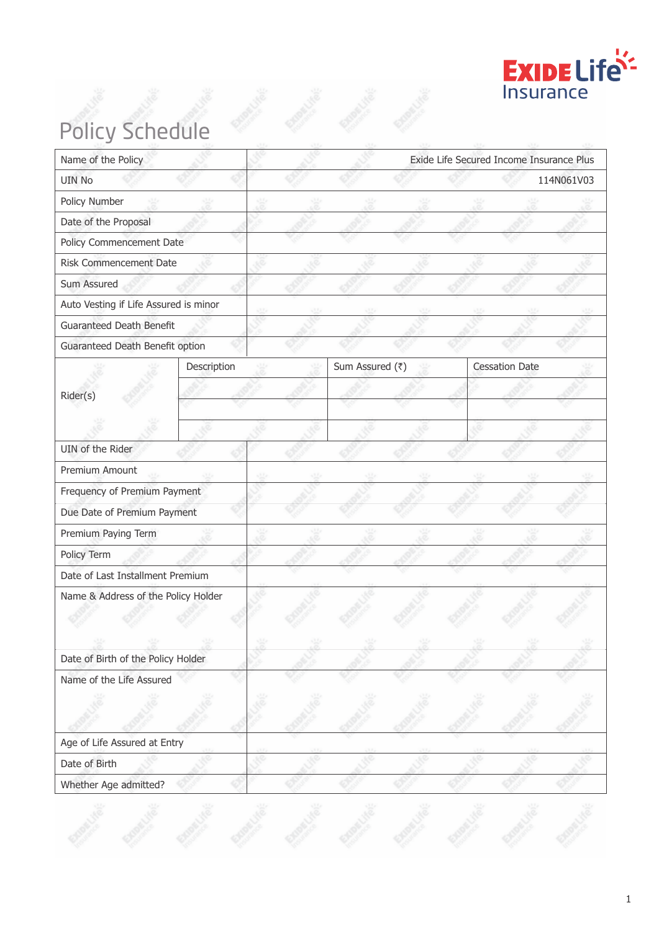

# Policy Schedule

| Name of the Policy                    |             |  |                 | Exide Life Secured Income Insurance Plus |                       |            |
|---------------------------------------|-------------|--|-----------------|------------------------------------------|-----------------------|------------|
| <b>UIN No</b>                         |             |  |                 |                                          |                       | 114N061V03 |
| Policy Number                         |             |  |                 |                                          |                       |            |
| Date of the Proposal                  |             |  |                 |                                          |                       |            |
| Policy Commencement Date              |             |  |                 |                                          |                       |            |
| Risk Commencement Date                |             |  |                 |                                          |                       |            |
| Sum Assured                           |             |  |                 |                                          |                       |            |
| Auto Vesting if Life Assured is minor |             |  |                 |                                          |                       |            |
| Guaranteed Death Benefit              |             |  |                 |                                          |                       |            |
| Guaranteed Death Benefit option       |             |  |                 |                                          |                       |            |
|                                       | Description |  | Sum Assured (₹) |                                          | <b>Cessation Date</b> |            |
| Rider(s)                              |             |  |                 |                                          |                       |            |
|                                       |             |  |                 |                                          |                       |            |
|                                       |             |  |                 |                                          |                       |            |
| UIN of the Rider                      |             |  |                 |                                          |                       |            |
| Premium Amount                        |             |  |                 |                                          |                       |            |
| Frequency of Premium Payment          |             |  |                 |                                          |                       |            |
| Due Date of Premium Payment           |             |  |                 |                                          |                       |            |
| Premium Paying Term                   |             |  |                 |                                          |                       |            |
| Policy Term                           |             |  |                 |                                          |                       |            |
| Date of Last Installment Premium      |             |  |                 |                                          |                       |            |
| Name & Address of the Policy Holder   |             |  |                 |                                          |                       |            |
|                                       |             |  |                 |                                          |                       |            |
|                                       |             |  |                 |                                          |                       |            |
| Date of Birth of the Policy Holder    |             |  |                 |                                          |                       |            |
| Name of the Life Assured              |             |  |                 |                                          |                       |            |
|                                       |             |  |                 |                                          |                       |            |
|                                       |             |  |                 |                                          |                       |            |
| Age of Life Assured at Entry          |             |  |                 |                                          |                       |            |
| Date of Birth                         |             |  |                 |                                          |                       |            |
| Whether Age admitted?                 |             |  |                 |                                          |                       |            |
|                                       |             |  |                 |                                          |                       |            |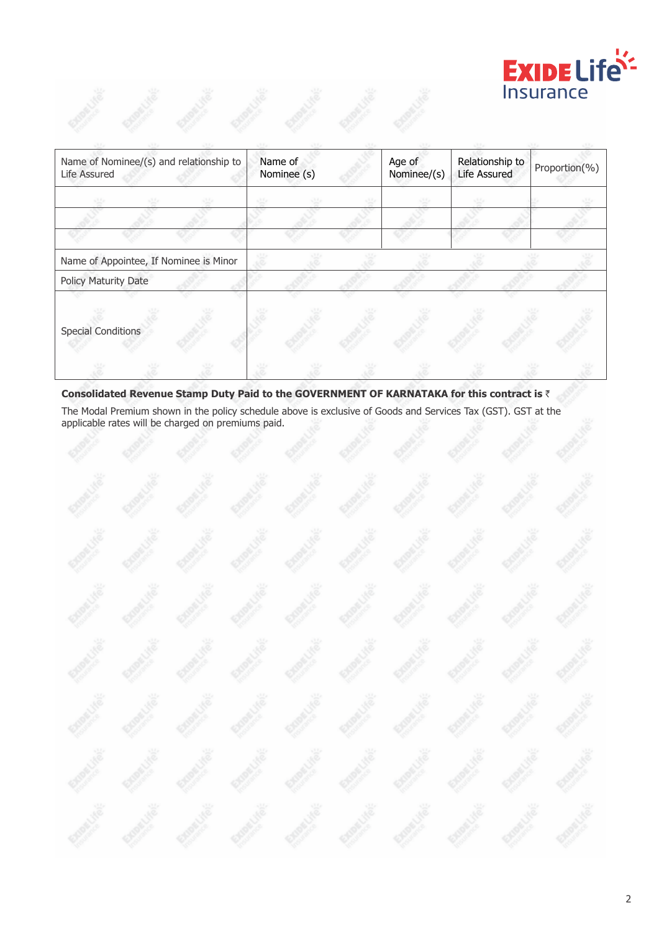

| Name of Nominee/(s) and relationship to<br>Life Assured | Name of<br>Nominee (s) | Age of<br>Nominee/(s) | Relationship to<br>Life Assured | Proportion(%) |
|---------------------------------------------------------|------------------------|-----------------------|---------------------------------|---------------|
|                                                         |                        |                       |                                 |               |
|                                                         |                        |                       |                                 |               |
| Name of Appointee, If Nominee is Minor                  |                        |                       |                                 |               |
| Policy Maturity Date                                    |                        |                       |                                 |               |
| <b>Special Conditions</b>                               |                        |                       |                                 |               |
|                                                         |                        |                       |                                 |               |

# Consolidated Revenue Stamp Duty Paid to the GOVERNMENT OF KARNATAKA for this contract is ₹

The Modal Premium shown in the policy schedule above is exclusive of Goods and Services Tax (GST). GST at the applicable rates will be charged on premiums paid.

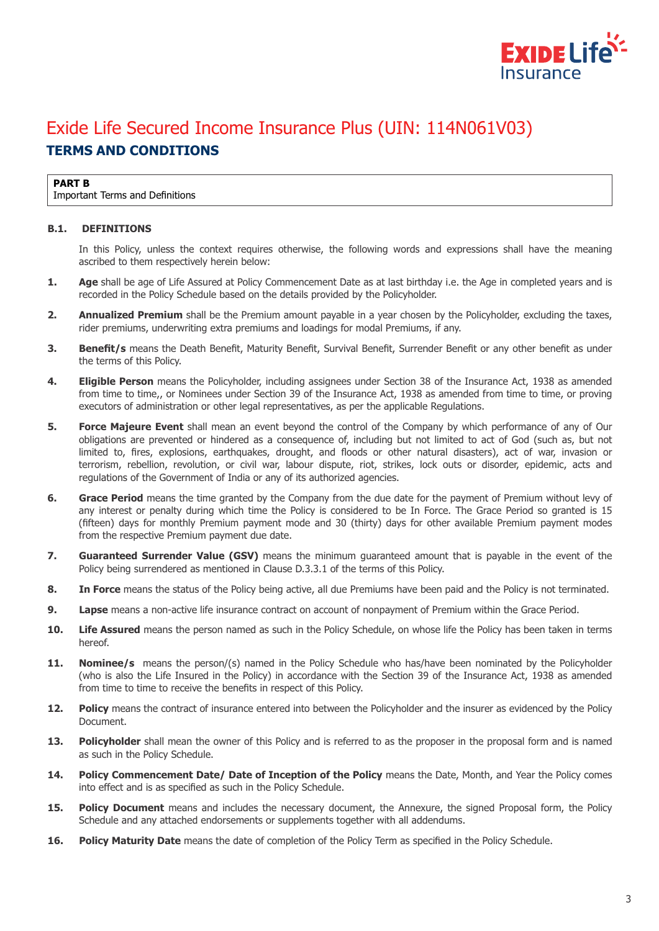

# Exide Life Secured Income Insurance Plus (UIN: 114N061V03) **TERMS AND CONDITIONS**

#### **PART B**

Important Terms and Definitions

#### **B.1. DEFINITIONS**

In this Policy, unless the context requires otherwise, the following words and expressions shall have the meaning ascribed to them respectively herein below:

- **1.** Age shall be age of Life Assured at Policy Commencement Date as at last birthday i.e. the Age in completed years and is recorded in the Policy Schedule based on the details provided by the Policyholder.
- **2. Annualized Premium** shall be the Premium amount payable in a year chosen by the Policyholder, excluding the taxes, rider premiums, underwriting extra premiums and loadings for modal Premiums, if any.
- **3. Benefit/s** means the Death Benefit, Maturity Benefit, Survival Benefit, Surrender Benefit or any other benefit as under the terms of this Policy.
- **4. Eligible Person** means the Policyholder, including assignees under Section 38 of the Insurance Act, 1938 as amended from time to time,, or Nominees under Section 39 of the Insurance Act, 1938 as amended from time to time, or proving executors of administration or other legal representatives, as per the applicable Regulations.
- **5. Force Majeure Event** shall mean an event beyond the control of the Company by which performance of any of Our obligations are prevented or hindered as a consequence of, including but not limited to act of God (such as, but not limited to, fires, explosions, earthquakes, drought, and floods or other natural disasters), act of war, invasion or terrorism, rebellion, revolution, or civil war, labour dispute, riot, strikes, lock outs or disorder, epidemic, acts and regulations of the Government of India or any of its authorized agencies.
- **6. Grace Period** means the time granted by the Company from the due date for the payment of Premium without levy of any interest or penalty during which time the Policy is considered to be In Force. The Grace Period so granted is 15 (fifteen) days for monthly Premium payment mode and 30 (thirty) days for other available Premium payment modes from the respective Premium payment due date.
- **7.** Guaranteed Surrender Value (GSV) means the minimum quaranteed amount that is payable in the event of the Policy being surrendered as mentioned in Clause D.3.3.1 of the terms of this Policy.
- **8. In Force** means the status of the Policy being active, all due Premiums have been paid and the Policy is not terminated.
- **9.** Lapse means a non-active life insurance contract on account of nonpayment of Premium within the Grace Period.
- **10. Life Assured** means the person named as such in the Policy Schedule, on whose life the Policy has been taken in terms hereof.
- 11. Nominee/s means the person/(s) named in the Policy Schedule who has/have been nominated by the Policyholder (who is also the Life Insured in the Policy) in accordance with the Section 39 of the Insurance Act, 1938 as amended from time to time to receive the benefits in respect of this Policy.
- **12. Policy** means the contract of insurance entered into between the Policyholder and the insurer as evidenced by the Policy Document.
- **13.** Policyholder shall mean the owner of this Policy and is referred to as the proposer in the proposal form and is named as such in the Policy Schedule.
- **14. Policy Commencement Date/ Date of Inception of the Policy** means the Date, Month, and Year the Policy comes into effect and is as specified as such in the Policy Schedule.
- **15. Policy Document** means and includes the necessary document, the Annexure, the signed Proposal form, the Policy Schedule and any attached endorsements or supplements together with all addendums.
- **16.** Policy Maturity Date means the date of completion of the Policy Term as specified in the Policy Schedule.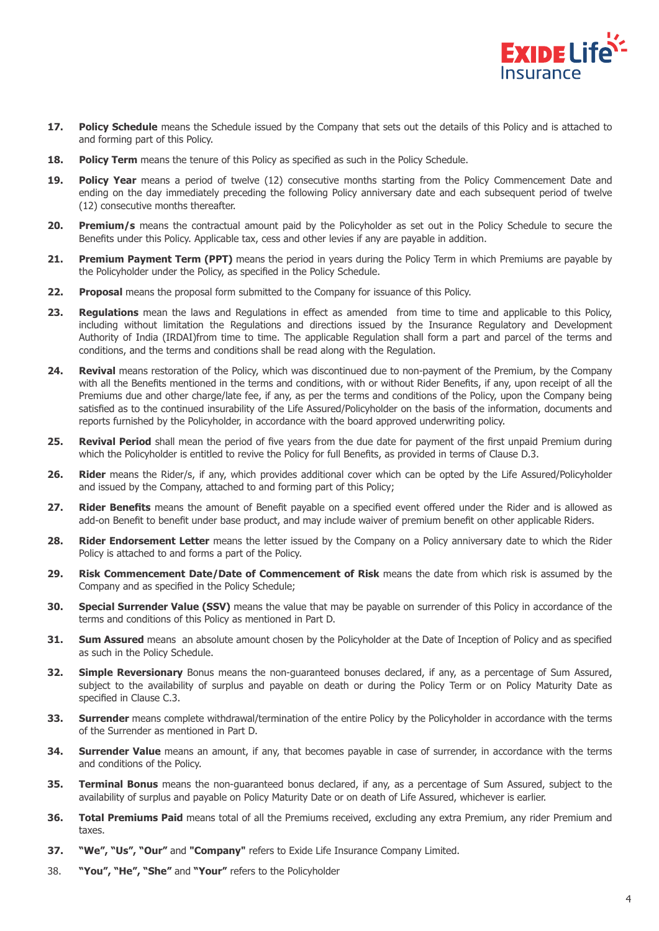

- **17. Policy Schedule** means the Schedule issued by the Company that sets out the details of this Policy and is attached to and forming part of this Policy.
- **18. Policy Term** means the tenure of this Policy as specified as such in the Policy Schedule.
- **19. Policy Year** means a period of twelve (12) consecutive months starting from the Policy Commencement Date and ending on the day immediately preceding the following Policy anniversary date and each subsequent period of twelve (12) consecutive months thereafter.
- **20. Premium/s** means the contractual amount paid by the Policyholder as set out in the Policy Schedule to secure the Benefits under this Policy. Applicable tax, cess and other levies if any are payable in addition.
- **21. Premium Payment Term (PPT)** means the period in years during the Policy Term in which Premiums are payable by the Policyholder under the Policy, as specified in the Policy Schedule.
- **22. Proposal** means the proposal form submitted to the Company for issuance of this Policy.
- **23. Regulations** mean the laws and Regulations in effect as amended from time to time and applicable to this Policy, including without limitation the Regulations and directions issued by the Insurance Regulatory and Development Authority of India (IRDAI)from time to time. The applicable Regulation shall form a part and parcel of the terms and conditions, and the terms and conditions shall be read along with the Regulation.
- **24. Revival** means restoration of the Policy, which was discontinued due to non-payment of the Premium, by the Company with all the Benefits mentioned in the terms and conditions, with or without Rider Benefits, if any, upon receipt of all the Premiums due and other charge/late fee, if any, as per the terms and conditions of the Policy, upon the Company being satisfied as to the continued insurability of the Life Assured/Policyholder on the basis of the information, documents and reports furnished by the Policyholder, in accordance with the board approved underwriting policy.
- **25. Revival Period** shall mean the period of five years from the due date for payment of the first unpaid Premium during which the Policyholder is entitled to revive the Policy for full Benefits, as provided in terms of Clause D.3.
- **26. Rider** means the Rider/s, if any, which provides additional cover which can be opted by the Life Assured/Policyholder and issued by the Company, attached to and forming part of this Policy;
- **27. Rider Benefits** means the amount of Benefit payable on a specified event offered under the Rider and is allowed as add-on Benefit to benefit under base product, and may include waiver of premium benefit on other applicable Riders.
- **28. Rider Endorsement Letter** means the letter issued by the Company on a Policy anniversary date to which the Rider Policy is attached to and forms a part of the Policy.
- 29. Risk Commencement Date/Date of Commencement of Risk means the date from which risk is assumed by the Company and as specified in the Policy Schedule;
- **30. Special Surrender Value (SSV)** means the value that may be payable on surrender of this Policy in accordance of the terms and conditions of this Policy as mentioned in Part D.
- **31. Sum Assured** means an absolute amount chosen by the Policyholder at the Date of Inception of Policy and as specified as such in the Policy Schedule.
- **32. Simple Reversionary** Bonus means the non-guaranteed bonuses declared, if any, as a percentage of Sum Assured, subject to the availability of surplus and payable on death or during the Policy Term or on Policy Maturity Date as specified in Clause C.3.
- **33. Surrender** means complete withdrawal/termination of the entire Policy by the Policyholder in accordance with the terms of the Surrender as mentioned in Part D.
- **34.** Surrender Value means an amount, if any, that becomes payable in case of surrender, in accordance with the terms and conditions of the Policy.
- **35. Terminal Bonus** means the non-guaranteed bonus declared, if any, as a percentage of Sum Assured, subject to the availability of surplus and payable on Policy Maturity Date or on death of Life Assured, whichever is earlier.
- **36. Total Premiums Paid** means total of all the Premiums received, excluding any extra Premium, any rider Premium and taxes.
- **37. "We", "Us", "Our"** and **"Company"** refers to Exide Life Insurance Company Limited.
- 38. **"You", "He", "She"** and **"Your"** refers to the Policyholder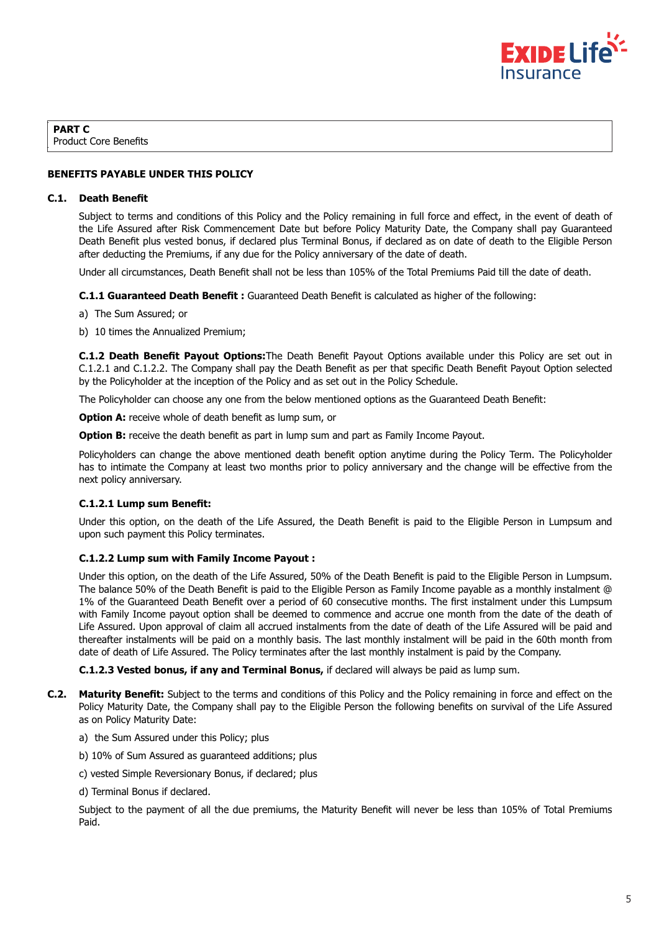

**PART C** Product Core Benefits

# **BENEFITS PAYABLE UNDER THIS POLICY**

#### **C.1. Death Benefit**

Subject to terms and conditions of this Policy and the Policy remaining in full force and effect, in the event of death of the Life Assured after Risk Commencement Date but before Policy Maturity Date, the Company shall pay Guaranteed Death Benefit plus vested bonus, if declared plus Terminal Bonus, if declared as on date of death to the Eligible Person after deducting the Premiums, if any due for the Policy anniversary of the date of death.

Under all circumstances, Death Benefit shall not be less than 105% of the Total Premiums Paid till the date of death.

**C.1.1 Guaranteed Death Benefit :** Guaranteed Death Benefit is calculated as higher of the following:

- a) The Sum Assured; or
- b) 10 times the Annualized Premium;

**C.1.2 Death Benefit Payout Options:**The Death Benefit Payout Options available under this Policy are set out in C.1.2.1 and C.1.2.2. The Company shall pay the Death Benefit as per that specific Death Benefit Payout Option selected by the Policyholder at the inception of the Policy and as set out in the Policy Schedule.

The Policyholder can choose any one from the below mentioned options as the Guaranteed Death Benefit:

**Option A:** receive whole of death benefit as lump sum, or

**Option B:** receive the death benefit as part in lump sum and part as Family Income Payout.

Policyholders can change the above mentioned death benefit option anytime during the Policy Term. The Policyholder has to intimate the Company at least two months prior to policy anniversary and the change will be effective from the next policy anniversary.

# **C.1.2.1 Lump sum Benefit:**

Under this option, on the death of the Life Assured, the Death Benefit is paid to the Eligible Person in Lumpsum and upon such payment this Policy terminates.

#### **C.1.2.2 Lump sum with Family Income Payout :**

Under this option, on the death of the Life Assured, 50% of the Death Benefit is paid to the Eligible Person in Lumpsum. The balance 50% of the Death Benefit is paid to the Eligible Person as Family Income payable as a monthly instalment @ 1% of the Guaranteed Death Benefit over a period of 60 consecutive months. The first instalment under this Lumpsum with Family Income payout option shall be deemed to commence and accrue one month from the date of the death of Life Assured. Upon approval of claim all accrued instalments from the date of death of the Life Assured will be paid and thereafter instalments will be paid on a monthly basis. The last monthly instalment will be paid in the 60th month from date of death of Life Assured. The Policy terminates after the last monthly instalment is paid by the Company.

**C.1.2.3 Vested bonus, if any and Terminal Bonus,** if declared will always be paid as lump sum.

- **C.2. Maturity Benefit:** Subject to the terms and conditions of this Policy and the Policy remaining in force and effect on the Policy Maturity Date, the Company shall pay to the Eligible Person the following benefits on survival of the Life Assured as on Policy Maturity Date:
	- a) the Sum Assured under this Policy; plus
	- b) 10% of Sum Assured as guaranteed additions; plus
	- c) vested Simple Reversionary Bonus, if declared; plus
	- d) Terminal Bonus if declared.

Subject to the payment of all the due premiums, the Maturity Benefit will never be less than 105% of Total Premiums Paid.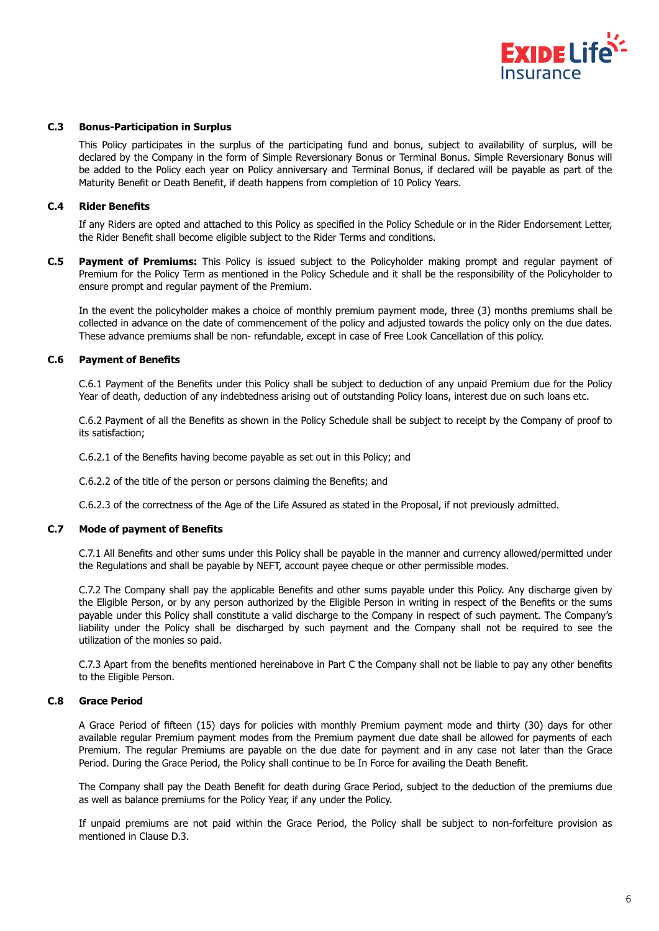

#### **C.3 Bonus-Participation in Surplus**

This Policy participates in the surplus of the participating fund and bonus, subject to availability of surplus, will be declared by the Company in the form of Simple Reversionary Bonus or Terminal Bonus. Simple Reversionary Bonus will be added to the Policy each year on Policy anniversary and Terminal Bonus, if declared will be payable as part of the Maturity Benefit or Death Benefit, if death happens from completion of 10 Policy Years.

#### **C.4 Rider Benefits**

If any Riders are opted and attached to this Policy as specified in the Policy Schedule or in the Rider Endorsement Letter, the Rider Benefit shall become eligible subject to the Rider Terms and conditions.

**C.5 Payment of Premiums:** This Policy is issued subject to the Policyholder making prompt and regular payment of Premium for the Policy Term as mentioned in the Policy Schedule and it shall be the responsibility of the Policyholder to ensure prompt and regular payment of the Premium.

In the event the policyholder makes a choice of monthly premium payment mode, three (3) months premiums shall be collected in advance on the date of commencement of the policy and adjusted towards the policy only on the due dates. These advance premiums shall be non- refundable, except in case of Free Look Cancellation of this policy.

#### **C.6 Payment of Benefits**

C.6.1 Payment of the Benefits under this Policy shall be subject to deduction of any unpaid Premium due for the Policy Year of death, deduction of any indebtedness arising out of outstanding Policy loans, interest due on such loans etc.

C.6.2 Payment of all the Benefits as shown in the Policy Schedule shall be subject to receipt by the Company of proof to its satisfaction;

C.6.2.1 of the Benefits having become payable as set out in this Policy; and

C.6.2.2 of the title of the person or persons claiming the Benefits; and

C.6.2.3 of the correctness of the Age of the Life Assured as stated in the Proposal, if not previously admitted.

# **C.7 Mode of payment of Benefits**

C.7.1 All Benefits and other sums under this Policy shall be payable in the manner and currency allowed/permitted under the Regulations and shall be payable by NEFT, account payee cheque or other permissible modes.

C.7.2 The Company shall pay the applicable Benefits and other sums payable under this Policy. Any discharge given by the Eligible Person, or by any person authorized by the Eligible Person in writing in respect of the Benefits or the sums payable under this Policy shall constitute a valid discharge to the Company in respect of such payment. The Company's liability under the Policy shall be discharged by such payment and the Company shall not be required to see the utilization of the monies so paid.

C.7.3 Apart from the benefits mentioned hereinabove in Part C the Company shall not be liable to pay any other benefits to the Eligible Person.

#### **C.8 Grace Period**

A Grace Period of fifteen (15) days for policies with monthly Premium payment mode and thirty (30) days for other available regular Premium payment modes from the Premium payment due date shall be allowed for payments of each Premium. The regular Premiums are payable on the due date for payment and in any case not later than the Grace Period. During the Grace Period, the Policy shall continue to be In Force for availing the Death Benefit.

The Company shall pay the Death Benefit for death during Grace Period, subject to the deduction of the premiums due as well as balance premiums for the Policy Year, if any under the Policy.

If unpaid premiums are not paid within the Grace Period, the Policy shall be subject to non-forfeiture provision as mentioned in Clause D.3.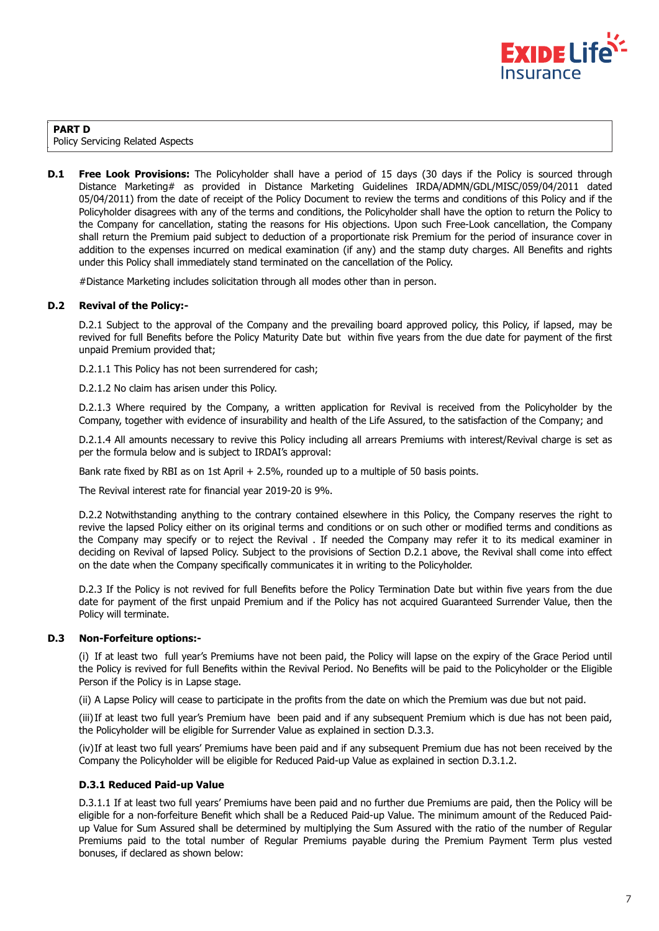

### **PART D** Policy Servicing Related Aspects

**D.1 Free Look Provisions:** The Policyholder shall have a period of 15 days (30 days if the Policy is sourced through Distance Marketing# as provided in Distance Marketing Guidelines IRDA/ADMN/GDL/MISC/059/04/2011 dated 05/04/2011) from the date of receipt of the Policy Document to review the terms and conditions of this Policy and if the Policyholder disagrees with any of the terms and conditions, the Policyholder shall have the option to return the Policy to the Company for cancellation, stating the reasons for His objections. Upon such Free-Look cancellation, the Company shall return the Premium paid subject to deduction of a proportionate risk Premium for the period of insurance cover in addition to the expenses incurred on medical examination (if any) and the stamp duty charges. All Benefits and rights under this Policy shall immediately stand terminated on the cancellation of the Policy.

#Distance Marketing includes solicitation through all modes other than in person.

# **D.2 Revival of the Policy:-**

D.2.1 Subject to the approval of the Company and the prevailing board approved policy, this Policy, if lapsed, may be revived for full Benefits before the Policy Maturity Date but within five years from the due date for payment of the first unpaid Premium provided that;

D.2.1.1 This Policy has not been surrendered for cash;

D.2.1.2 No claim has arisen under this Policy.

D.2.1.3 Where required by the Company, a written application for Revival is received from the Policyholder by the Company, together with evidence of insurability and health of the Life Assured, to the satisfaction of the Company; and

D.2.1.4 All amounts necessary to revive this Policy including all arrears Premiums with interest/Revival charge is set as per the formula below and is subject to IRDAI's approval:

Bank rate fixed by RBI as on 1st April + 2.5%, rounded up to a multiple of 50 basis points.

The Revival interest rate for financial year 2019-20 is 9%.

D.2.2 Notwithstanding anything to the contrary contained elsewhere in this Policy, the Company reserves the right to revive the lapsed Policy either on its original terms and conditions or on such other or modified terms and conditions as the Company may specify or to reject the Revival . If needed the Company may refer it to its medical examiner in deciding on Revival of lapsed Policy. Subject to the provisions of Section D.2.1 above, the Revival shall come into effect on the date when the Company specifically communicates it in writing to the Policyholder.

D.2.3 If the Policy is not revived for full Benefits before the Policy Termination Date but within five years from the due date for payment of the first unpaid Premium and if the Policy has not acquired Guaranteed Surrender Value, then the Policy will terminate.

# **D.3 Non-Forfeiture options:-**

(i) If at least two full year's Premiums have not been paid, the Policy will lapse on the expiry of the Grace Period until the Policy is revived for full Benefits within the Revival Period. No Benefits will be paid to the Policyholder or the Eligible Person if the Policy is in Lapse stage.

(ii) A Lapse Policy will cease to participate in the profits from the date on which the Premium was due but not paid.

(iii) If at least two full year's Premium have been paid and if any subsequent Premium which is due has not been paid, the Policyholder will be eligible for Surrender Value as explained in section D.3.3.

(iv) If at least two full years' Premiums have been paid and if any subsequent Premium due has not been received by the Company the Policyholder will be eligible for Reduced Paid-up Value as explained in section D.3.1.2.

# **D.3.1 Reduced Paid-up Value**

D.3.1.1 If at least two full years' Premiums have been paid and no further due Premiums are paid, then the Policy will be eligible for a non-forfeiture Benefit which shall be a Reduced Paid-up Value. The minimum amount of the Reduced Paidup Value for Sum Assured shall be determined by multiplying the Sum Assured with the ratio of the number of Regular Premiums paid to the total number of Regular Premiums payable during the Premium Payment Term plus vested bonuses, if declared as shown below: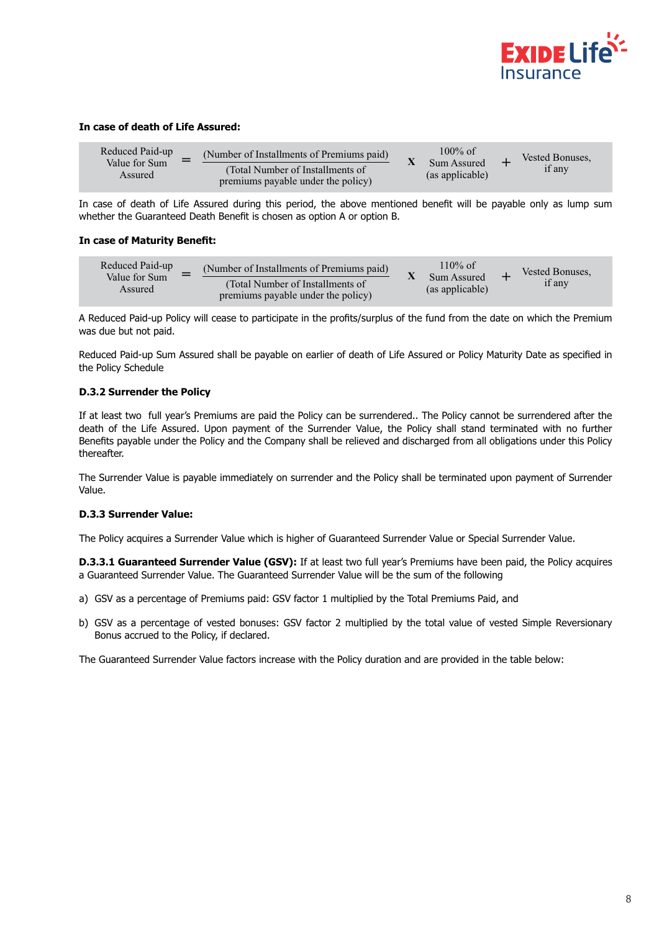

#### **In case of death of Life Assured:**

| Reduced Paid-up          | (Number of Installments of Premiums paid)                              | $100\%$ of                     | Vested Bonuses. |
|--------------------------|------------------------------------------------------------------------|--------------------------------|-----------------|
| Value for Sum<br>Assured | (Total Number of Installments of<br>premiums payable under the policy) | Sum Assured<br>(as applicable) | if any          |

In case of death of Life Assured during this period, the above mentioned benefit will be payable only as lump sum whether the Guaranteed Death Benefit is chosen as option A or option B.

#### **In case of Maturity Benefit:**

| Reduced Paid-up          | (Number of Installments of Premiums paid)                              | 110% of                        | Vested Bonuses. |
|--------------------------|------------------------------------------------------------------------|--------------------------------|-----------------|
| Value for Sum<br>Assured | (Total Number of Installments of<br>premiums payable under the policy) | Sum Assured<br>(as applicable) | if anv          |

A Reduced Paid-up Policy will cease to participate in the profits/surplus of the fund from the date on which the Premium was due but not paid.

Reduced Paid-up Sum Assured shall be payable on earlier of death of Life Assured or Policy Maturity Date as specified in the Policy Schedule

#### **D.3.2 Surrender the Policy**

If at least two full year's Premiums are paid the Policy can be surrendered.. The Policy cannot be surrendered after the death of the Life Assured. Upon payment of the Surrender Value, the Policy shall stand terminated with no further Benefits payable under the Policy and the Company shall be relieved and discharged from all obligations under this Policy thereafter.

The Surrender Value is payable immediately on surrender and the Policy shall be terminated upon payment of Surrender Value.

#### **D.3.3 Surrender Value:**

The Policy acquires a Surrender Value which is higher of Guaranteed Surrender Value or Special Surrender Value.

**D.3.3.1 Guaranteed Surrender Value (GSV):** If at least two full year's Premiums have been paid, the Policy acquires a Guaranteed Surrender Value. The Guaranteed Surrender Value will be the sum of the following

- a) GSV as a percentage of Premiums paid: GSV factor 1 multiplied by the Total Premiums Paid, and
- b) GSV as a percentage of vested bonuses: GSV factor 2 multiplied by the total value of vested Simple Reversionary Bonus accrued to the Policy, if declared.

The Guaranteed Surrender Value factors increase with the Policy duration and are provided in the table below: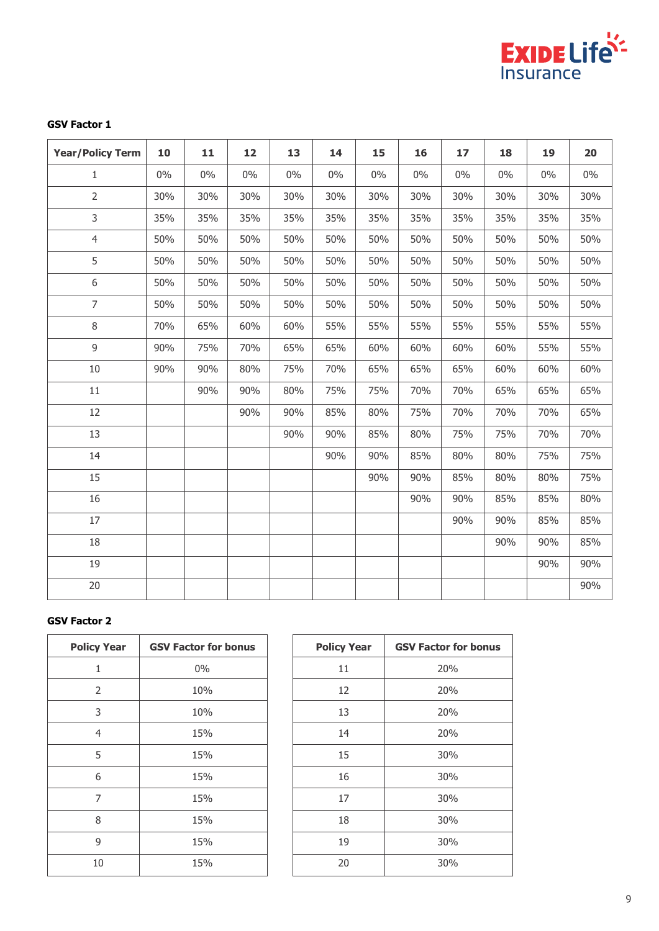

# **GSV Factor 1**

| <b>Year/Policy Term</b> | 10    | 11    | 12    | 13    | 14    | 15    | 16    | 17    | 18  | 19  | 20  |
|-------------------------|-------|-------|-------|-------|-------|-------|-------|-------|-----|-----|-----|
| 1                       | $0\%$ | $0\%$ | $0\%$ | $0\%$ | $0\%$ | $0\%$ | $0\%$ | $0\%$ | 0%  | 0%  | 0%  |
| $\overline{2}$          | 30%   | 30%   | 30%   | 30%   | 30%   | 30%   | 30%   | 30%   | 30% | 30% | 30% |
| 3                       | 35%   | 35%   | 35%   | 35%   | 35%   | 35%   | 35%   | 35%   | 35% | 35% | 35% |
| $\overline{4}$          | 50%   | 50%   | 50%   | 50%   | 50%   | 50%   | 50%   | 50%   | 50% | 50% | 50% |
| 5                       | 50%   | 50%   | 50%   | 50%   | 50%   | 50%   | 50%   | 50%   | 50% | 50% | 50% |
| 6                       | 50%   | 50%   | 50%   | 50%   | 50%   | 50%   | 50%   | 50%   | 50% | 50% | 50% |
| $\overline{7}$          | 50%   | 50%   | 50%   | 50%   | 50%   | 50%   | 50%   | 50%   | 50% | 50% | 50% |
| 8                       | 70%   | 65%   | 60%   | 60%   | 55%   | 55%   | 55%   | 55%   | 55% | 55% | 55% |
| 9                       | 90%   | 75%   | 70%   | 65%   | 65%   | 60%   | 60%   | 60%   | 60% | 55% | 55% |
| 10                      | 90%   | 90%   | 80%   | 75%   | 70%   | 65%   | 65%   | 65%   | 60% | 60% | 60% |
| 11                      |       | 90%   | 90%   | 80%   | 75%   | 75%   | 70%   | 70%   | 65% | 65% | 65% |
| 12                      |       |       | 90%   | 90%   | 85%   | 80%   | 75%   | 70%   | 70% | 70% | 65% |
| 13                      |       |       |       | 90%   | 90%   | 85%   | 80%   | 75%   | 75% | 70% | 70% |
| 14                      |       |       |       |       | 90%   | 90%   | 85%   | 80%   | 80% | 75% | 75% |
| 15                      |       |       |       |       |       | 90%   | 90%   | 85%   | 80% | 80% | 75% |
| 16                      |       |       |       |       |       |       | 90%   | 90%   | 85% | 85% | 80% |
| 17                      |       |       |       |       |       |       |       | 90%   | 90% | 85% | 85% |
| 18                      |       |       |       |       |       |       |       |       | 90% | 90% | 85% |
| 19                      |       |       |       |       |       |       |       |       |     | 90% | 90% |
| 20                      |       |       |       |       |       |       |       |       |     |     | 90% |

# **GSV Factor 2**

| <b>Policy Year</b> | <b>GSV Factor for bonus</b> |
|--------------------|-----------------------------|
| 1                  | 0%                          |
| $\overline{2}$     | 10%                         |
| 3                  | 10%                         |
| 4                  | 15%                         |
| 5                  | 15%                         |
| 6                  | 15%                         |
| 7                  | 15%                         |
| 8                  | 15%                         |
| 9                  | 15%                         |
| 10                 | 15%                         |

| <b>Policy Year</b> | <b>GSV Factor for bonus</b> |
|--------------------|-----------------------------|
| 11                 | 20%                         |
| 12                 | 20%                         |
| 13                 | 20%                         |
| 14                 | 20%                         |
| 15                 | 30%                         |
| 16                 | 30%                         |
| 17                 | 30%                         |
| 18                 | 30%                         |
| 19                 | 30%                         |
| 20                 | 30%                         |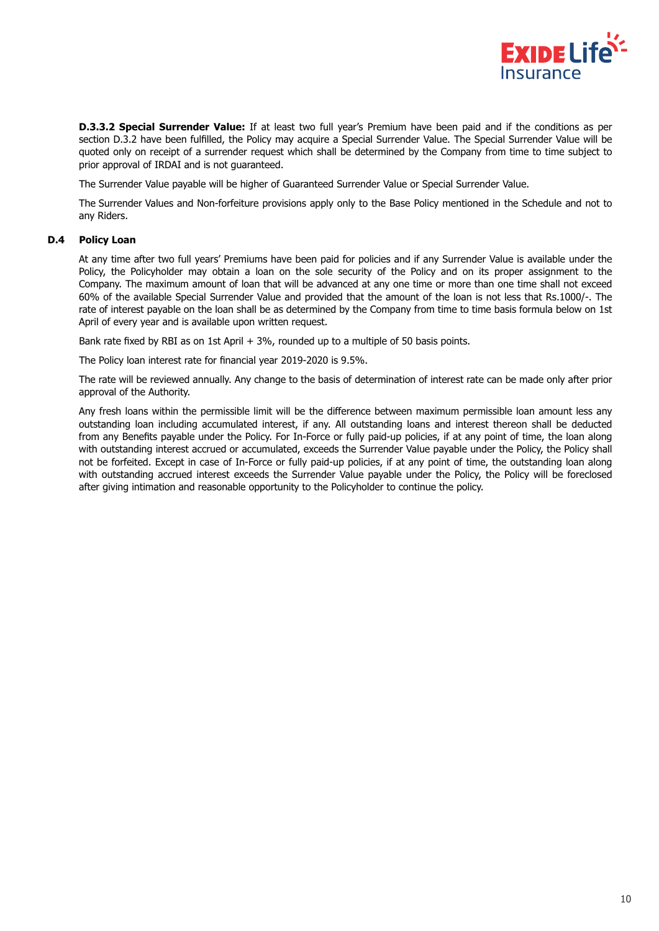

**D.3.3.2 Special Surrender Value:** If at least two full year's Premium have been paid and if the conditions as per section D.3.2 have been fulfilled, the Policy may acquire a Special Surrender Value. The Special Surrender Value will be quoted only on receipt of a surrender request which shall be determined by the Company from time to time subject to prior approval of IRDAI and is not guaranteed.

The Surrender Value payable will be higher of Guaranteed Surrender Value or Special Surrender Value.

The Surrender Values and Non-forfeiture provisions apply only to the Base Policy mentioned in the Schedule and not to any Riders.

#### **D.4 Policy Loan**

At any time after two full years' Premiums have been paid for policies and if any Surrender Value is available under the Policy, the Policyholder may obtain a loan on the sole security of the Policy and on its proper assignment to the Company. The maximum amount of loan that will be advanced at any one time or more than one time shall not exceed 60% of the available Special Surrender Value and provided that the amount of the loan is not less that Rs.1000/-. The rate of interest payable on the loan shall be as determined by the Company from time to time basis formula below on 1st April of every year and is available upon written request.

Bank rate fixed by RBI as on 1st April + 3%, rounded up to a multiple of 50 basis points.

The Policy loan interest rate for financial year 2019-2020 is 9.5%.

The rate will be reviewed annually. Any change to the basis of determination of interest rate can be made only after prior approval of the Authority.

Any fresh loans within the permissible limit will be the difference between maximum permissible loan amount less any outstanding loan including accumulated interest, if any. All outstanding loans and interest thereon shall be deducted from any Benefits payable under the Policy. For In-Force or fully paid-up policies, if at any point of time, the loan along with outstanding interest accrued or accumulated, exceeds the Surrender Value payable under the Policy, the Policy shall not be forfeited. Except in case of In-Force or fully paid-up policies, if at any point of time, the outstanding loan along with outstanding accrued interest exceeds the Surrender Value payable under the Policy, the Policy will be foreclosed after giving intimation and reasonable opportunity to the Policyholder to continue the policy.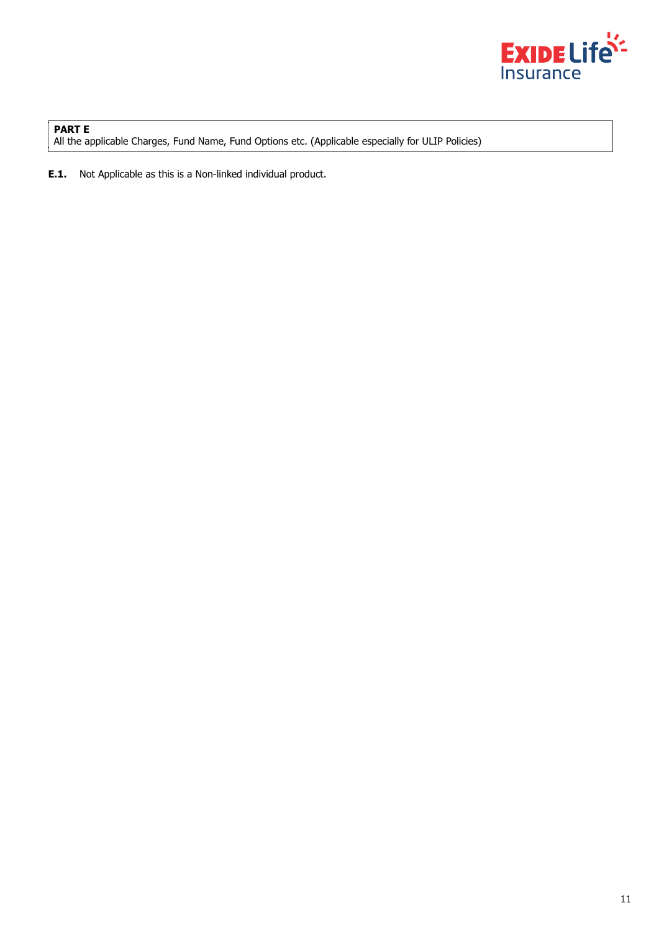

**PART E** All the applicable Charges, Fund Name, Fund Options etc. (Applicable especially for ULIP Policies)

**E.1.** Not Applicable as this is a Non-linked individual product.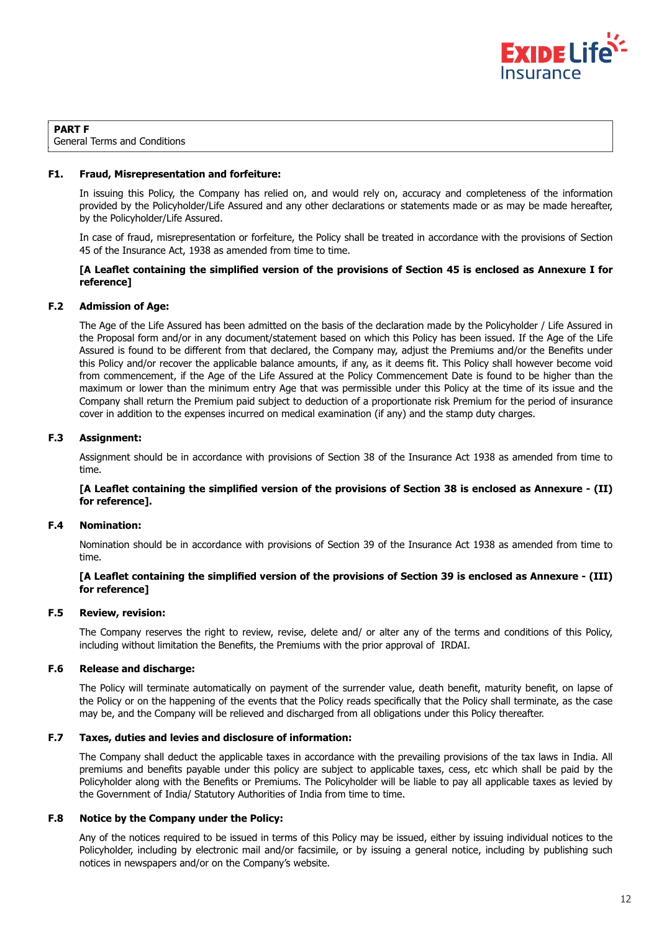

# **PART F**

General Terms and Conditions

#### **F1. Fraud, Misrepresentation and forfeiture:**

In issuing this Policy, the Company has relied on, and would rely on, accuracy and completeness of the information provided by the Policyholder/Life Assured and any other declarations or statements made or as may be made hereafter, by the Policyholder/Life Assured.

In case of fraud, misrepresentation or forfeiture, the Policy shall be treated in accordance with the provisions of Section 45 of the Insurance Act, 1938 as amended from time to time.

# **[A Leaflet containing the simplified version of the provisions of Section 45 is enclosed as Annexure I for reference]**

#### **F.2 Admission of Age:**

The Age of the Life Assured has been admitted on the basis of the declaration made by the Policyholder / Life Assured in the Proposal form and/or in any document/statement based on which this Policy has been issued. If the Age of the Life Assured is found to be different from that declared, the Company may, adjust the Premiums and/or the Benefits under this Policy and/or recover the applicable balance amounts, if any, as it deems fit. This Policy shall however become void from commencement, if the Age of the Life Assured at the Policy Commencement Date is found to be higher than the maximum or lower than the minimum entry Age that was permissible under this Policy at the time of its issue and the Company shall return the Premium paid subject to deduction of a proportionate risk Premium for the period of insurance cover in addition to the expenses incurred on medical examination (if any) and the stamp duty charges.

# **F.3 Assignment:**

Assignment should be in accordance with provisions of Section 38 of the Insurance Act 1938 as amended from time to time.

#### **[A Leaflet containing the simplified version of the provisions of Section 38 is enclosed as Annexure - (II) for reference].**

#### **F.4 Nomination:**

Nomination should be in accordance with provisions of Section 39 of the Insurance Act 1938 as amended from time to time.

# **[A Leaflet containing the simplified version of the provisions of Section 39 is enclosed as Annexure - (III) for reference]**

# **F.5 Review, revision:**

The Company reserves the right to review, revise, delete and/ or alter any of the terms and conditions of this Policy, including without limitation the Benefits, the Premiums with the prior approval of IRDAI.

#### **F.6 Release and discharge:**

The Policy will terminate automatically on payment of the surrender value, death benefit, maturity benefit, on lapse of the Policy or on the happening of the events that the Policy reads specifically that the Policy shall terminate, as the case may be, and the Company will be relieved and discharged from all obligations under this Policy thereafter.

#### **F.7 Taxes, duties and levies and disclosure of information:**

The Company shall deduct the applicable taxes in accordance with the prevailing provisions of the tax laws in India. All premiums and benefits payable under this policy are subject to applicable taxes, cess, etc which shall be paid by the Policyholder along with the Benefits or Premiums. The Policyholder will be liable to pay all applicable taxes as levied by the Government of India/ Statutory Authorities of India from time to time.

#### **F.8 Notice by the Company under the Policy:**

Any of the notices required to be issued in terms of this Policy may be issued, either by issuing individual notices to the Policyholder, including by electronic mail and/or facsimile, or by issuing a general notice, including by publishing such notices in newspapers and/or on the Company's website.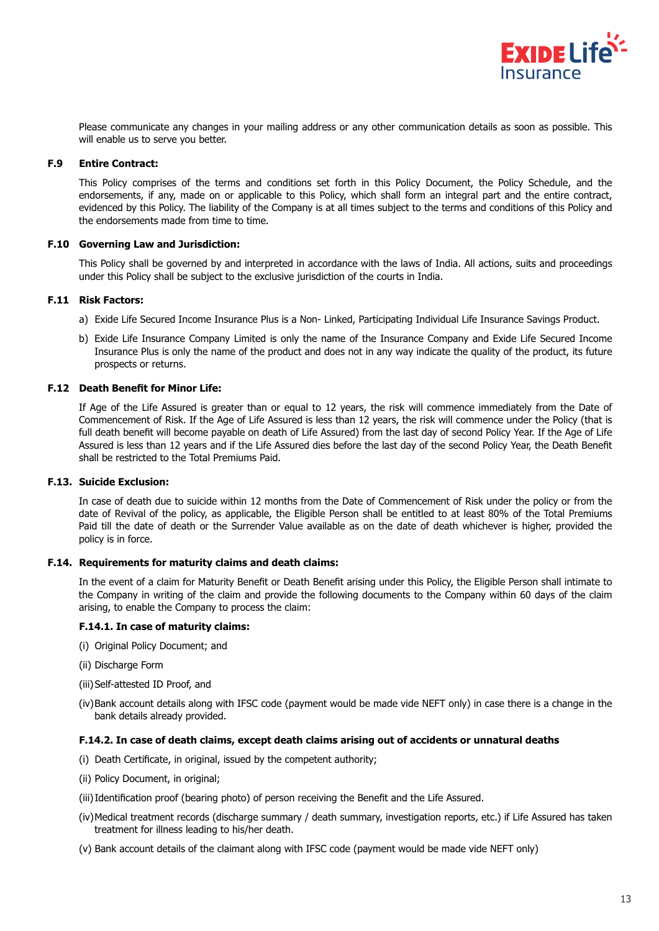

Please communicate any changes in your mailing address or any other communication details as soon as possible. This will enable us to serve you better.

#### **F.9 Entire Contract:**

This Policy comprises of the terms and conditions set forth in this Policy Document, the Policy Schedule, and the endorsements, if any, made on or applicable to this Policy, which shall form an integral part and the entire contract, evidenced by this Policy. The liability of the Company is at all times subject to the terms and conditions of this Policy and the endorsements made from time to time.

#### **F.10 Governing Law and Jurisdiction:**

This Policy shall be governed by and interpreted in accordance with the laws of India. All actions, suits and proceedings under this Policy shall be subject to the exclusive jurisdiction of the courts in India.

#### **F.11 Risk Factors:**

- a) Exide Life Secured Income Insurance Plus is a Non- Linked, Participating Individual Life Insurance Savings Product.
- b) Exide Life Insurance Company Limited is only the name of the Insurance Company and Exide Life Secured Income Insurance Plus is only the name of the product and does not in any way indicate the quality of the product, its future prospects or returns.

#### **F.12 Death Benefit for Minor Life:**

If Age of the Life Assured is greater than or equal to 12 years, the risk will commence immediately from the Date of Commencement of Risk. If the Age of Life Assured is less than 12 years, the risk will commence under the Policy (that is full death benefit will become payable on death of Life Assured) from the last day of second Policy Year. If the Age of Life Assured is less than 12 years and if the Life Assured dies before the last day of the second Policy Year, the Death Benefit shall be restricted to the Total Premiums Paid.

#### **F.13. Suicide Exclusion:**

In case of death due to suicide within 12 months from the Date of Commencement of Risk under the policy or from the date of Revival of the policy, as applicable, the Eligible Person shall be entitled to at least 80% of the Total Premiums Paid till the date of death or the Surrender Value available as on the date of death whichever is higher, provided the policy is in force.

#### **F.14. Requirements for maturity claims and death claims:**

In the event of a claim for Maturity Benefit or Death Benefit arising under this Policy, the Eligible Person shall intimate to the Company in writing of the claim and provide the following documents to the Company within 60 days of the claim arising, to enable the Company to process the claim:

#### **F.14.1. In case of maturity claims:**

- (i) Original Policy Document; and
- (ii) Discharge Form
- (iii) Self-attested ID Proof, and
- (iv) Bank account details along with IFSC code (payment would be made vide NEFT only) in case there is a change in the bank details already provided.

#### **F.14.2. In case of death claims, except death claims arising out of accidents or unnatural deaths**

- (i) Death Certificate, in original, issued by the competent authority;
- (ii) Policy Document, in original;
- (iii) Identification proof (bearing photo) of person receiving the Benefit and the Life Assured.
- (iv) Medical treatment records (discharge summary / death summary, investigation reports, etc.) if Life Assured has taken treatment for illness leading to his/her death.
- (v) Bank account details of the claimant along with IFSC code (payment would be made vide NEFT only)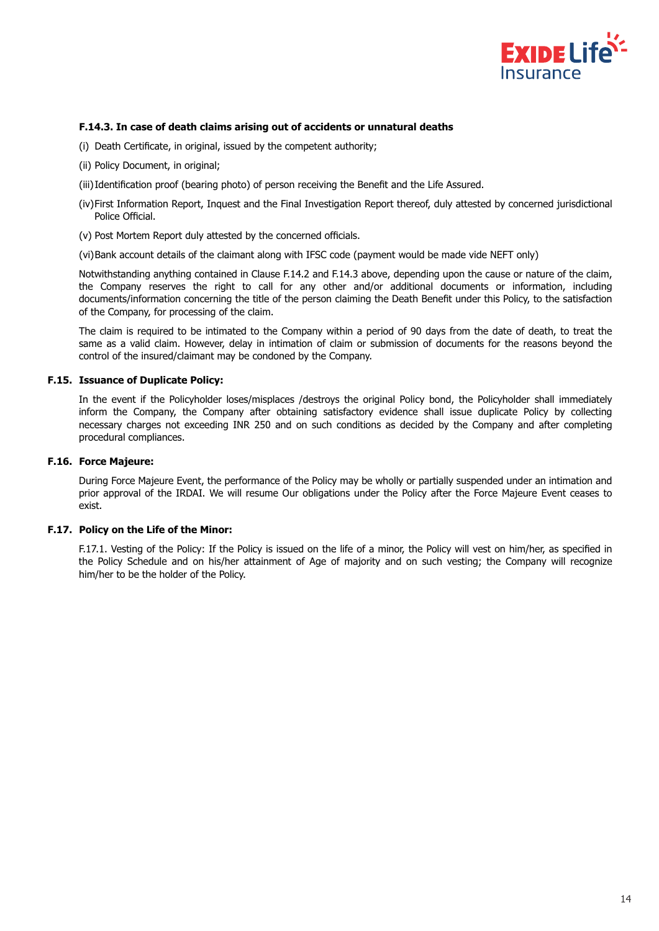

#### **F.14.3. In case of death claims arising out of accidents or unnatural deaths**

- (i) Death Certificate, in original, issued by the competent authority;
- (ii) Policy Document, in original;
- (iii) Identification proof (bearing photo) of person receiving the Benefit and the Life Assured.
- (iv) First Information Report, Inquest and the Final Investigation Report thereof, duly attested by concerned jurisdictional Police Official.
- (v) Post Mortem Report duly attested by the concerned officials.

(vi) Bank account details of the claimant along with IFSC code (payment would be made vide NEFT only)

Notwithstanding anything contained in Clause F.14.2 and F.14.3 above, depending upon the cause or nature of the claim, the Company reserves the right to call for any other and/or additional documents or information, including documents/information concerning the title of the person claiming the Death Benefit under this Policy, to the satisfaction of the Company, for processing of the claim.

The claim is required to be intimated to the Company within a period of 90 days from the date of death, to treat the same as a valid claim. However, delay in intimation of claim or submission of documents for the reasons beyond the control of the insured/claimant may be condoned by the Company.

# **F.15. Issuance of Duplicate Policy:**

In the event if the Policyholder loses/misplaces /destroys the original Policy bond, the Policyholder shall immediately inform the Company, the Company after obtaining satisfactory evidence shall issue duplicate Policy by collecting necessary charges not exceeding INR 250 and on such conditions as decided by the Company and after completing procedural compliances.

#### **F.16. Force Majeure:**

During Force Majeure Event, the performance of the Policy may be wholly or partially suspended under an intimation and prior approval of the IRDAI. We will resume Our obligations under the Policy after the Force Majeure Event ceases to exist.

# **F.17. Policy on the Life of the Minor:**

F.17.1. Vesting of the Policy: If the Policy is issued on the life of a minor, the Policy will vest on him/her, as specified in the Policy Schedule and on his/her attainment of Age of majority and on such vesting; the Company will recognize him/her to be the holder of the Policy.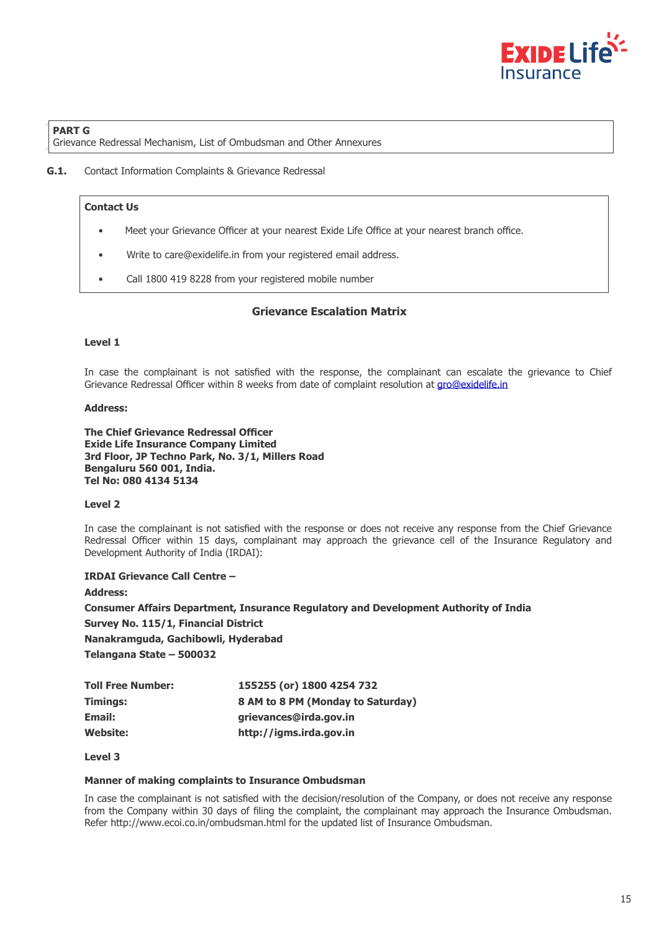

# **PART G**

Grievance Redressal Mechanism, List of Ombudsman and Other Annexures

**G.1.** Contact Information Complaints & Grievance Redressal

# **Contact Us**

- Meet your Grievance Officer at your nearest Exide Life Office at your nearest branch office.
- Write to care@exidelife.in from your registered email address.
- Call 1800 419 8228 from your registered mobile number

# **Grievance Escalation Matrix**

#### **Level 1**

In case the complainant is not satisfied with the response, the complainant can escalate the grievance to Chief Grievance Redressal Officer within 8 weeks from date of complaint resolution at gro@exidelife.in

#### **Address:**

**The Chief Grievance Redressal Officer Exide Life Insurance Company Limited 3rd Floor, JP Techno Park, No. 3/1, Millers Road Bengaluru 560 001, India. Tel No: 080 4134 5134**

#### **Level 2**

In case the complainant is not satisfied with the response or does not receive any response from the Chief Grievance Redressal Officer within 15 days, complainant may approach the grievance cell of the Insurance Regulatory and Development Authority of India (IRDAI):

**IRDAI Grievance Call Centre –** 

**Address:**

**Consumer Affairs Department, Insurance Regulatory and Development Authority of India Survey No. 115/1, Financial District**

**Nanakramguda, Gachibowli, Hyderabad**

**Telangana State – 500032**

| <b>Toll Free Number:</b> | 155255 (or) 1800 4254 732         |
|--------------------------|-----------------------------------|
| Timings:                 | 8 AM to 8 PM (Monday to Saturday) |
| Email:                   | grievances@irda.gov.in            |
| <b>Website:</b>          | http://igms.irda.gov.in           |

### **Level 3**

#### **Manner of making complaints to Insurance Ombudsman**

In case the complainant is not satisfied with the decision/resolution of the Company, or does not receive any response from the Company within 30 days of filing the complaint, the complainant may approach the Insurance Ombudsman. Refer http://www.ecoi.co.in/ombudsman.html for the updated list of Insurance Ombudsman.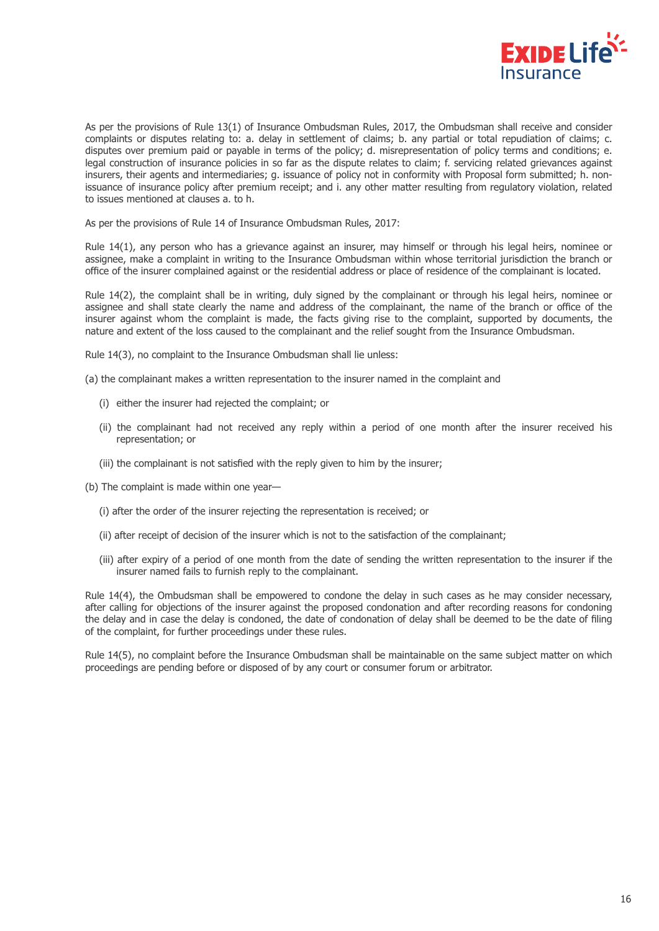

As per the provisions of Rule 13(1) of Insurance Ombudsman Rules, 2017, the Ombudsman shall receive and consider complaints or disputes relating to: a. delay in settlement of claims; b. any partial or total repudiation of claims; c. disputes over premium paid or payable in terms of the policy; d. misrepresentation of policy terms and conditions; e. legal construction of insurance policies in so far as the dispute relates to claim; f. servicing related grievances against insurers, their agents and intermediaries; g. issuance of policy not in conformity with Proposal form submitted; h. nonissuance of insurance policy after premium receipt; and i. any other matter resulting from regulatory violation, related to issues mentioned at clauses a. to h.

As per the provisions of Rule 14 of Insurance Ombudsman Rules, 2017:

Rule 14(1), any person who has a grievance against an insurer, may himself or through his legal heirs, nominee or assignee, make a complaint in writing to the Insurance Ombudsman within whose territorial jurisdiction the branch or office of the insurer complained against or the residential address or place of residence of the complainant is located.

Rule 14(2), the complaint shall be in writing, duly signed by the complainant or through his legal heirs, nominee or assignee and shall state clearly the name and address of the complainant, the name of the branch or office of the insurer against whom the complaint is made, the facts giving rise to the complaint, supported by documents, the nature and extent of the loss caused to the complainant and the relief sought from the Insurance Ombudsman.

Rule 14(3), no complaint to the Insurance Ombudsman shall lie unless:

(a) the complainant makes a written representation to the insurer named in the complaint and

- (i) either the insurer had rejected the complaint; or
- (ii) the complainant had not received any reply within a period of one month after the insurer received his representation; or
- (iii) the complainant is not satisfied with the reply given to him by the insurer;
- (b) The complaint is made within one year—
	- (i) after the order of the insurer rejecting the representation is received; or
	- (ii) after receipt of decision of the insurer which is not to the satisfaction of the complainant;
	- (iii) after expiry of a period of one month from the date of sending the written representation to the insurer if the insurer named fails to furnish reply to the complainant.

Rule 14(4), the Ombudsman shall be empowered to condone the delay in such cases as he may consider necessary, after calling for objections of the insurer against the proposed condonation and after recording reasons for condoning the delay and in case the delay is condoned, the date of condonation of delay shall be deemed to be the date of filing of the complaint, for further proceedings under these rules.

Rule 14(5), no complaint before the Insurance Ombudsman shall be maintainable on the same subject matter on which proceedings are pending before or disposed of by any court or consumer forum or arbitrator.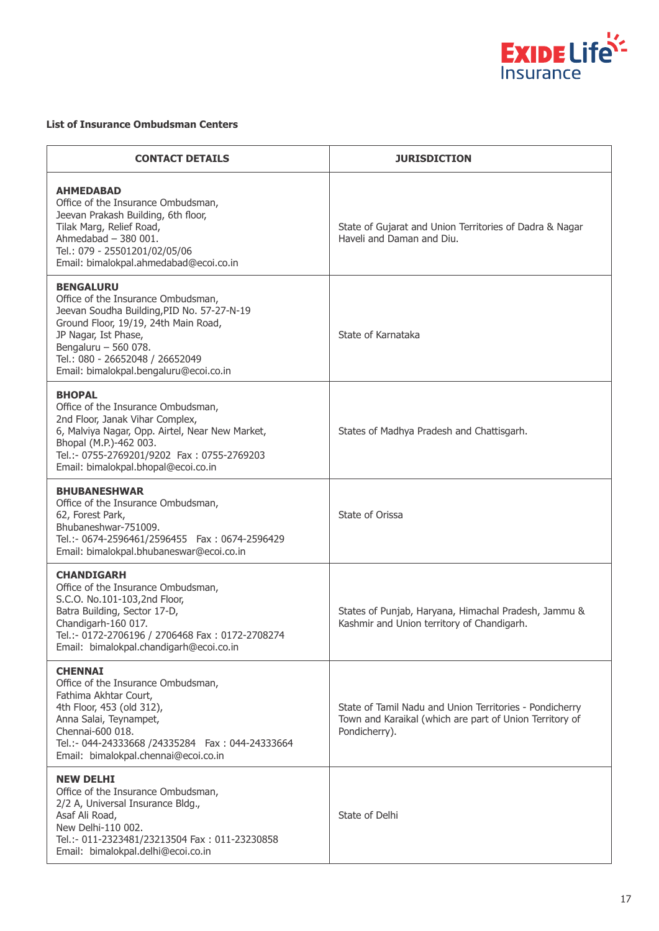

# **List of Insurance Ombudsman Centers**

| <b>CONTACT DETAILS</b>                                                                                                                                                                                                                                                    | <b>JURISDICTION</b>                                                                                                                 |
|---------------------------------------------------------------------------------------------------------------------------------------------------------------------------------------------------------------------------------------------------------------------------|-------------------------------------------------------------------------------------------------------------------------------------|
| <b>AHMEDABAD</b><br>Office of the Insurance Ombudsman,<br>Jeevan Prakash Building, 6th floor,<br>Tilak Marg, Relief Road,<br>Ahmedabad $-380001$ .<br>Tel.: 079 - 25501201/02/05/06<br>Email: bimalokpal.ahmedabad@ecoi.co.in                                             | State of Gujarat and Union Territories of Dadra & Nagar<br>Haveli and Daman and Diu.                                                |
| <b>BENGALURU</b><br>Office of the Insurance Ombudsman,<br>Jeevan Soudha Building, PID No. 57-27-N-19<br>Ground Floor, 19/19, 24th Main Road,<br>JP Nagar, Ist Phase,<br>Bengaluru - 560 078.<br>Tel.: 080 - 26652048 / 26652049<br>Email: bimalokpal.bengaluru@ecoi.co.in | State of Karnataka                                                                                                                  |
| <b>BHOPAL</b><br>Office of the Insurance Ombudsman,<br>2nd Floor, Janak Vihar Complex,<br>6, Malviya Nagar, Opp. Airtel, Near New Market,<br>Bhopal (M.P.)-462 003.<br>Tel.:- 0755-2769201/9202 Fax: 0755-2769203<br>Email: bimalokpal.bhopal@ecoi.co.in                  | States of Madhya Pradesh and Chattisgarh.                                                                                           |
| <b>BHUBANESHWAR</b><br>Office of the Insurance Ombudsman,<br>62, Forest Park,<br>Bhubaneshwar-751009.<br>Tel.:- 0674-2596461/2596455    Fax: 0674-2596429<br>Email: bimalokpal.bhubaneswar@ecoi.co.in                                                                     | State of Orissa                                                                                                                     |
| <b>CHANDIGARH</b><br>Office of the Insurance Ombudsman,<br>S.C.O. No.101-103,2nd Floor,<br>Batra Building, Sector 17-D,<br>Chandigarh-160 017.<br>Tel.:- 0172-2706196 / 2706468 Fax: 0172-2708274<br>Email: bimalokpal.chandigarh@ecoi.co.in                              | States of Punjab, Haryana, Himachal Pradesh, Jammu &<br>Kashmir and Union territory of Chandigarh.                                  |
| <b>CHENNAI</b><br>Office of the Insurance Ombudsman,<br>Fathima Akhtar Court,<br>4th Floor, 453 (old 312),<br>Anna Salai, Teynampet,<br>Chennai-600 018.<br>Tel.:- 044-24333668 /24335284  Fax: 044-24333664<br>Email: bimalokpal.chennai@ecoi.co.in                      | State of Tamil Nadu and Union Territories - Pondicherry<br>Town and Karaikal (which are part of Union Territory of<br>Pondicherry). |
| <b>NEW DELHI</b><br>Office of the Insurance Ombudsman,<br>2/2 A, Universal Insurance Bldg.,<br>Asaf Ali Road,<br>New Delhi-110 002.<br>Tel.:- 011-2323481/23213504 Fax: 011-23230858<br>Email: bimalokpal.delhi@ecoi.co.in                                                | State of Delhi                                                                                                                      |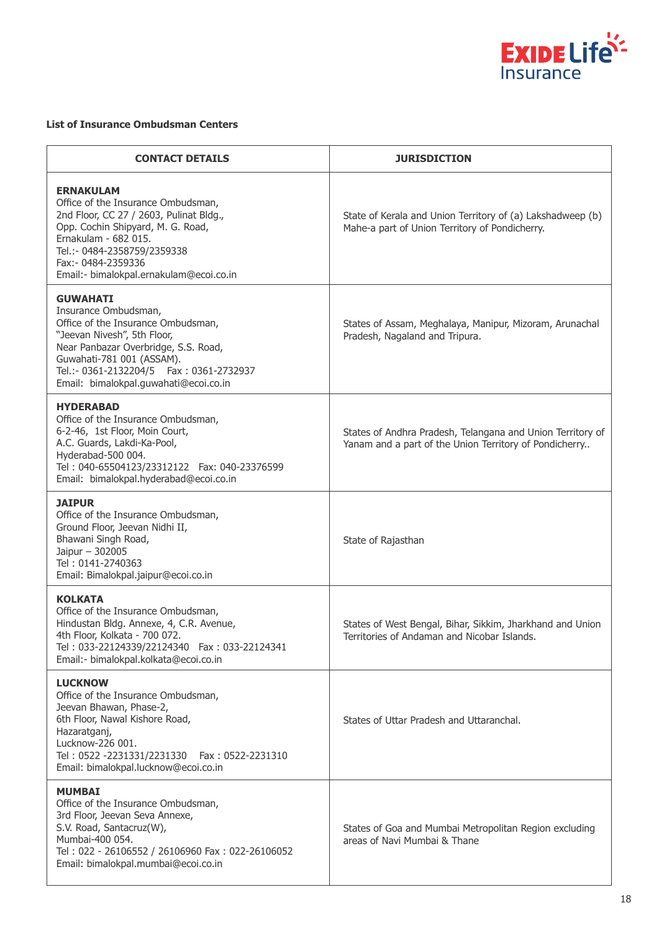

# **List of Insurance Ombudsman Centers**

| <b>CONTACT DETAILS</b>                                                                                                                                                                                                                                                   | <b>JURISDICTION</b>                                                                                                  |
|--------------------------------------------------------------------------------------------------------------------------------------------------------------------------------------------------------------------------------------------------------------------------|----------------------------------------------------------------------------------------------------------------------|
| <b>ERNAKULAM</b><br>Office of the Insurance Ombudsman,<br>2nd Floor, CC 27 / 2603, Pulinat Bldg.,<br>Opp. Cochin Shipyard, M. G. Road,<br>Ernakulam - 682 015.<br>Tel.:- 0484-2358759/2359338<br>Fax: - 0484-2359336<br>Email:- bimalokpal.ernakulam@ecoi.co.in          | State of Kerala and Union Territory of (a) Lakshadweep (b)<br>Mahe-a part of Union Territory of Pondicherry.         |
| <b>GUWAHATI</b><br>Insurance Ombudsman,<br>Office of the Insurance Ombudsman,<br>"Jeevan Nivesh", 5th Floor,<br>Near Panbazar Overbridge, S.S. Road,<br>Guwahati-781 001 (ASSAM).<br>Tel.:- 0361-2132204/5    Fax: 0361-2732937<br>Email: bimalokpal.guwahati@ecoi.co.in | States of Assam, Meghalaya, Manipur, Mizoram, Arunachal<br>Pradesh, Nagaland and Tripura.                            |
| <b>HYDERABAD</b><br>Office of the Insurance Ombudsman,<br>6-2-46, 1st Floor, Moin Court,<br>A.C. Guards, Lakdi-Ka-Pool,<br>Hyderabad-500 004.<br>Tel: 040-65504123/23312122    Fax: 040-23376599<br>Email: bimalokpal.hyderabad@ecoi.co.in                               | States of Andhra Pradesh, Telangana and Union Territory of<br>Yanam and a part of the Union Territory of Pondicherry |
| <b>JAIPUR</b><br>Office of the Insurance Ombudsman,<br>Ground Floor, Jeevan Nidhi II,<br>Bhawani Singh Road,<br>Jaipur - 302005<br>Tel: 0141-2740363<br>Email: Bimalokpal.jaipur@ecoi.co.in                                                                              | State of Rajasthan                                                                                                   |
| <b>KOLKATA</b><br>Office of the Insurance Ombudsman,<br>Hindustan Bldg. Annexe, 4, C.R. Avenue,<br>4th Floor, Kolkata - 700 072.<br>Tel: 033-22124339/22124340    Fax: 033-22124341<br>Email:- bimalokpal.kolkata@ecoi.co.in                                             | States of West Bengal, Bihar, Sikkim, Jharkhand and Union<br>Territories of Andaman and Nicobar Islands.             |
| <b>LUCKNOW</b><br>Office of the Insurance Ombudsman,<br>Jeevan Bhawan, Phase-2,<br>6th Floor, Nawal Kishore Road,<br>Hazaratganj,<br>Lucknow-226 001.<br>Tel: 0522 -2231331/2231330    Fax: 0522-2231310<br>Email: bimalokpal.lucknow@ecoi.co.in                         | States of Uttar Pradesh and Uttaranchal.                                                                             |
| <b>MUMBAI</b><br>Office of the Insurance Ombudsman,<br>3rd Floor, Jeevan Seva Annexe,<br>S.V. Road, Santacruz(W),<br>Mumbai-400 054.<br>Tel: 022 - 26106552 / 26106960 Fax: 022-26106052<br>Email: bimalokpal.mumbai@ecoi.co.in                                          | States of Goa and Mumbai Metropolitan Region excluding<br>areas of Navi Mumbai & Thane                               |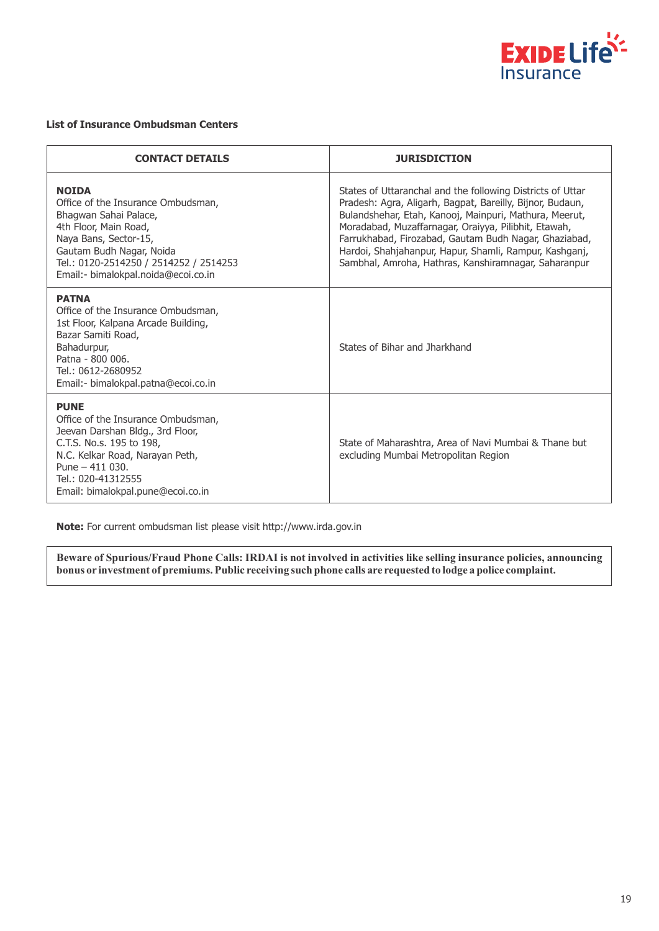

#### **List of Insurance Ombudsman Centers**

| <b>CONTACT DETAILS</b>                                                                                                                                                                                                                     | <b>JURISDICTION</b>                                                                                                                                                                                                                                                                                                                                                                                                  |
|--------------------------------------------------------------------------------------------------------------------------------------------------------------------------------------------------------------------------------------------|----------------------------------------------------------------------------------------------------------------------------------------------------------------------------------------------------------------------------------------------------------------------------------------------------------------------------------------------------------------------------------------------------------------------|
| <b>NOIDA</b><br>Office of the Insurance Ombudsman,<br>Bhagwan Sahai Palace,<br>4th Floor, Main Road,<br>Naya Bans, Sector-15,<br>Gautam Budh Nagar, Noida<br>Tel.: 0120-2514250 / 2514252 / 2514253<br>Email:- bimalokpal.noida@ecoi.co.in | States of Uttaranchal and the following Districts of Uttar<br>Pradesh: Agra, Aligarh, Bagpat, Bareilly, Bijnor, Budaun,<br>Bulandshehar, Etah, Kanooj, Mainpuri, Mathura, Meerut,<br>Moradabad, Muzaffarnagar, Oraiyya, Pilibhit, Etawah,<br>Farrukhabad, Firozabad, Gautam Budh Nagar, Ghaziabad,<br>Hardoi, Shahjahanpur, Hapur, Shamli, Rampur, Kashganj,<br>Sambhal, Amroha, Hathras, Kanshiramnagar, Saharanpur |
| <b>PATNA</b><br>Office of the Insurance Ombudsman,<br>1st Floor, Kalpana Arcade Building,<br>Bazar Samiti Road,<br>Bahadurpur,<br>Patna - 800 006.<br>Tel.: 0612-2680952<br>Email:- bimalokpal.patna@ecoi.co.in                            | States of Bihar and Jharkhand                                                                                                                                                                                                                                                                                                                                                                                        |
| <b>PUNE</b><br>Office of the Insurance Ombudsman,<br>Jeevan Darshan Bldg., 3rd Floor,<br>C.T.S. No.s. 195 to 198,<br>N.C. Kelkar Road, Narayan Peth,<br>Pune $-411$ 030.<br>Tel.: 020-41312555<br>Email: bimalokpal.pune@ecoi.co.in        | State of Maharashtra, Area of Navi Mumbai & Thane but<br>excluding Mumbai Metropolitan Region                                                                                                                                                                                                                                                                                                                        |

**Note:** For current ombudsman list please visit http://www.irda.gov.in

**Beware of Spurious/Fraud Phone Calls: IRDAI is not involved in activities like selling insurance policies, announcing bonus or investment of premiums. Public receiving such phone calls are requested to lodge a police complaint.**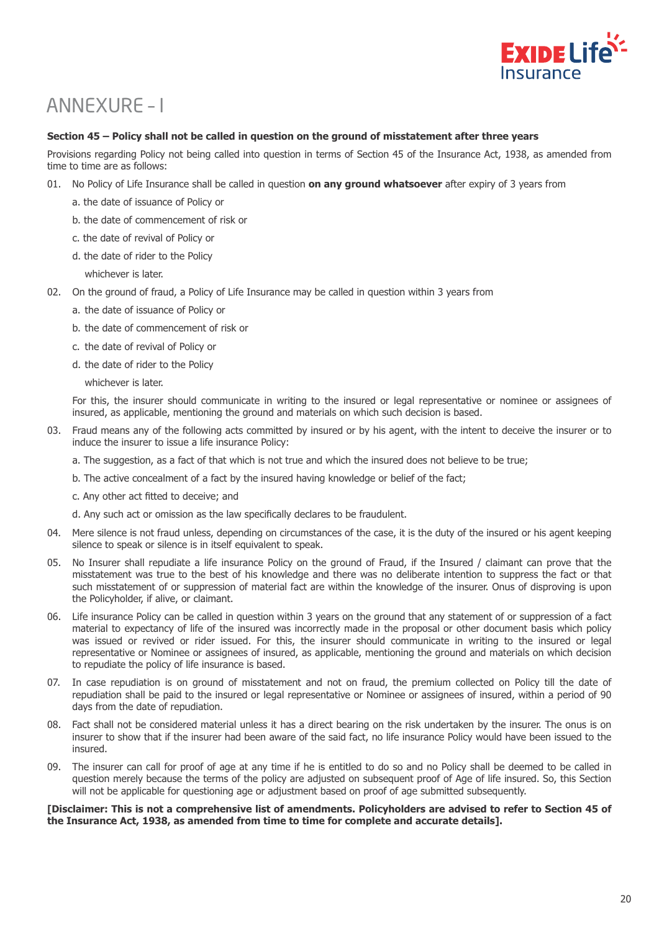

# ANNEXURE – I

### **Section 45 – Policy shall not be called in question on the ground of misstatement after three years**

Provisions regarding Policy not being called into question in terms of Section 45 of the Insurance Act, 1938, as amended from time to time are as follows:

- 01. No Policy of Life Insurance shall be called in question **on any ground whatsoever** after expiry of 3 years from
	- a. the date of issuance of Policy or
	- b. the date of commencement of risk or
	- c. the date of revival of Policy or
	- d. the date of rider to the Policy
		- whichever is later.
- 02. On the ground of fraud, a Policy of Life Insurance may be called in question within 3 years from
	- a. the date of issuance of Policy or
	- b. the date of commencement of risk or
	- c. the date of revival of Policy or
	- d. the date of rider to the Policy

whichever is later.

For this, the insurer should communicate in writing to the insured or legal representative or nominee or assignees of insured, as applicable, mentioning the ground and materials on which such decision is based.

- 03. Fraud means any of the following acts committed by insured or by his agent, with the intent to deceive the insurer or to induce the insurer to issue a life insurance Policy:
	- a. The suggestion, as a fact of that which is not true and which the insured does not believe to be true;
	- b. The active concealment of a fact by the insured having knowledge or belief of the fact;
	- c. Any other act fitted to deceive; and
	- d. Any such act or omission as the law specifically declares to be fraudulent.
- 04. Mere silence is not fraud unless, depending on circumstances of the case, it is the duty of the insured or his agent keeping silence to speak or silence is in itself equivalent to speak.
- 05. No Insurer shall repudiate a life insurance Policy on the ground of Fraud, if the Insured / claimant can prove that the misstatement was true to the best of his knowledge and there was no deliberate intention to suppress the fact or that such misstatement of or suppression of material fact are within the knowledge of the insurer. Onus of disproving is upon the Policyholder, if alive, or claimant.
- 06. Life insurance Policy can be called in question within 3 years on the ground that any statement of or suppression of a fact material to expectancy of life of the insured was incorrectly made in the proposal or other document basis which policy was issued or revived or rider issued. For this, the insurer should communicate in writing to the insured or legal representative or Nominee or assignees of insured, as applicable, mentioning the ground and materials on which decision to repudiate the policy of life insurance is based.
- 07. In case repudiation is on ground of misstatement and not on fraud, the premium collected on Policy till the date of repudiation shall be paid to the insured or legal representative or Nominee or assignees of insured, within a period of 90 days from the date of repudiation.
- 08. Fact shall not be considered material unless it has a direct bearing on the risk undertaken by the insurer. The onus is on insurer to show that if the insurer had been aware of the said fact, no life insurance Policy would have been issued to the insured.
- 09. The insurer can call for proof of age at any time if he is entitled to do so and no Policy shall be deemed to be called in question merely because the terms of the policy are adjusted on subsequent proof of Age of life insured. So, this Section will not be applicable for questioning age or adjustment based on proof of age submitted subsequently.

### **[Disclaimer: This is not a comprehensive list of amendments. Policyholders are advised to refer to Section 45 of the Insurance Act, 1938, as amended from time to time for complete and accurate details].**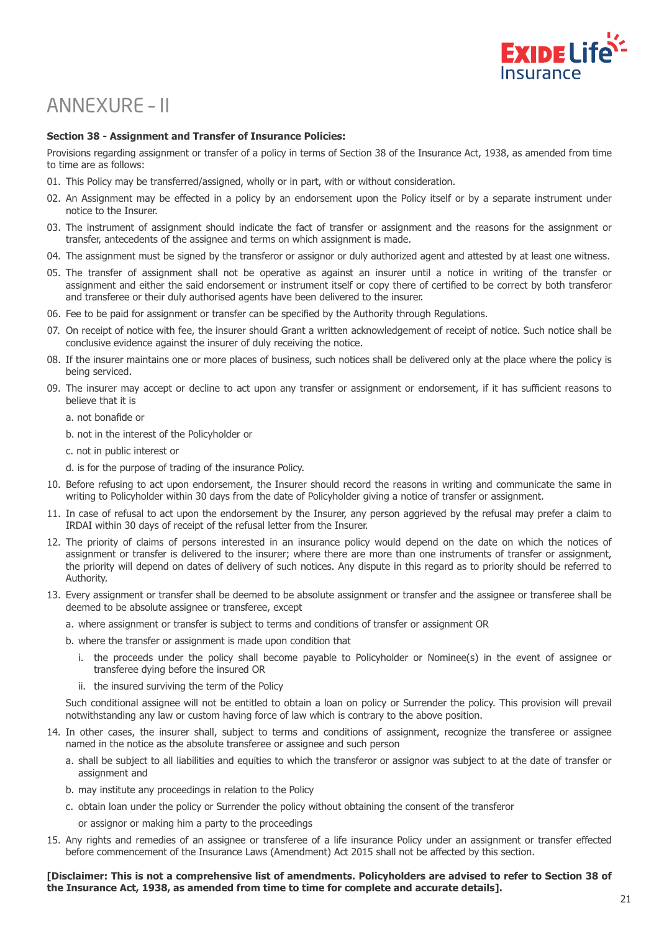

# ANNEXURE – II

### **Section 38 - Assignment and Transfer of Insurance Policies:**

Provisions regarding assignment or transfer of a policy in terms of Section 38 of the Insurance Act, 1938, as amended from time to time are as follows:

- 01. This Policy may be transferred/assigned, wholly or in part, with or without consideration.
- 02. An Assignment may be effected in a policy by an endorsement upon the Policy itself or by a separate instrument under notice to the Insurer.
- 03. The instrument of assignment should indicate the fact of transfer or assignment and the reasons for the assignment or transfer, antecedents of the assignee and terms on which assignment is made.
- 04. The assignment must be signed by the transferor or assignor or duly authorized agent and attested by at least one witness.
- 05. The transfer of assignment shall not be operative as against an insurer until a notice in writing of the transfer or assignment and either the said endorsement or instrument itself or copy there of certified to be correct by both transferor and transferee or their duly authorised agents have been delivered to the insurer.
- 06. Fee to be paid for assignment or transfer can be specified by the Authority through Regulations.
- 07. On receipt of notice with fee, the insurer should Grant a written acknowledgement of receipt of notice. Such notice shall be conclusive evidence against the insurer of duly receiving the notice.
- 08. If the insurer maintains one or more places of business, such notices shall be delivered only at the place where the policy is being serviced.
- 09. The insurer may accept or decline to act upon any transfer or assignment or endorsement, if it has sufficient reasons to believe that it is
	- a. not bonafide or
	- b. not in the interest of the Policyholder or
	- c. not in public interest or
	- d. is for the purpose of trading of the insurance Policy.
- 10. Before refusing to act upon endorsement, the Insurer should record the reasons in writing and communicate the same in writing to Policyholder within 30 days from the date of Policyholder giving a notice of transfer or assignment.
- 11. In case of refusal to act upon the endorsement by the Insurer, any person aggrieved by the refusal may prefer a claim to IRDAI within 30 days of receipt of the refusal letter from the Insurer.
- 12. The priority of claims of persons interested in an insurance policy would depend on the date on which the notices of assignment or transfer is delivered to the insurer; where there are more than one instruments of transfer or assignment, the priority will depend on dates of delivery of such notices. Any dispute in this regard as to priority should be referred to Authority.
- 13. Every assignment or transfer shall be deemed to be absolute assignment or transfer and the assignee or transferee shall be deemed to be absolute assignee or transferee, except
	- a. where assignment or transfer is subject to terms and conditions of transfer or assignment OR
	- b. where the transfer or assignment is made upon condition that
		- i. the proceeds under the policy shall become payable to Policyholder or Nominee(s) in the event of assignee or transferee dying before the insured OR
		- ii. the insured surviving the term of the Policy

Such conditional assignee will not be entitled to obtain a loan on policy or Surrender the policy. This provision will prevail notwithstanding any law or custom having force of law which is contrary to the above position.

- 14. In other cases, the insurer shall, subject to terms and conditions of assignment, recognize the transferee or assignee named in the notice as the absolute transferee or assignee and such person
	- a. shall be subject to all liabilities and equities to which the transferor or assignor was subject to at the date of transfer or assignment and
	- b. may institute any proceedings in relation to the Policy
	- c. obtain loan under the policy or Surrender the policy without obtaining the consent of the transferor
		- or assignor or making him a party to the proceedings
- 15. Any rights and remedies of an assignee or transferee of a life insurance Policy under an assignment or transfer effected before commencement of the Insurance Laws (Amendment) Act 2015 shall not be affected by this section.

#### **[Disclaimer: This is not a comprehensive list of amendments. Policyholders are advised to refer to Section 38 of the Insurance Act, 1938, as amended from time to time for complete and accurate details].**